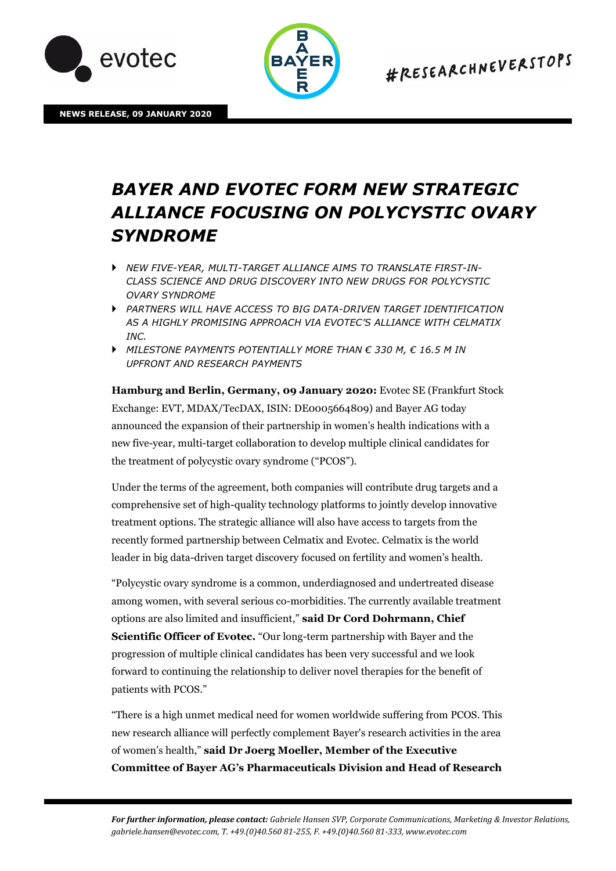



**NEWS RELEASE, 09 JANUARY 2020** 

# *BAYER AND EVOTEC FORM NEW STRATEGIC ALLIANCE FOCUSING ON POLYCYSTIC OVARY SYNDROME*

- *NEW FIVE-YEAR, MULTI-TARGET ALLIANCE AIMS TO TRANSLATE FIRST-IN-CLASS SCIENCE AND DRUG DISCOVERY INTO NEW DRUGS FOR POLYCYSTIC OVARY SYNDROME*
- *PARTNERS WILL HAVE ACCESS TO BIG DATA-DRIVEN TARGET IDENTIFICATION AS A HIGHLY PROMISING APPROACH VIA EVOTEC'S ALLIANCE WITH CELMATIX INC.*
- *MILESTONE PAYMENTS POTENTIALLY MORE THAN € 330 M, € 16.5 M IN UPFRONT AND RESEARCH PAYMENTS*

**Hamburg and Berlin, Germany, 09 January 2020:** Evotec SE (Frankfurt Stock Exchange: EVT, MDAX/TecDAX, ISIN: DE0005664809) and Bayer AG today announced the expansion of their partnership in women's health indications with a new five-year, multi-target collaboration to develop multiple clinical candidates for the treatment of polycystic ovary syndrome ("PCOS").

Under the terms of the agreement, both companies will contribute drug targets and a comprehensive set of high-quality technology platforms to jointly develop innovative treatment options. The strategic alliance will also have access to targets from the recently formed partnership between Celmatix and Evotec. Celmatix is the world leader in big data-driven target discovery focused on fertility and women's health.

"Polycystic ovary syndrome is a common, underdiagnosed and undertreated disease among women, with several serious co-morbidities. The currently available treatment options are also limited and insufficient," **said Dr Cord Dohrmann, Chief Scientific Officer of Evotec.** "Our long-term partnership with Bayer and the progression of multiple clinical candidates has been very successful and we look forward to continuing the relationship to deliver novel therapies for the benefit of patients with PCOS."

"There is a high unmet medical need for women worldwide suffering from PCOS. This new research alliance will perfectly complement Bayer's research activities in the area of women's health," **said Dr Joerg Moeller, Member of the Executive Committee of Bayer AG's Pharmaceuticals Division and Head of Research**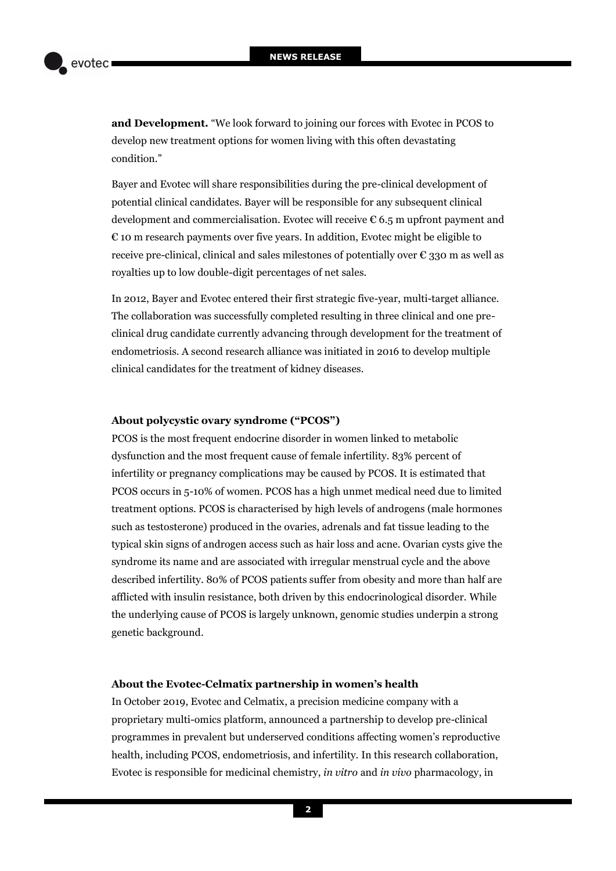**and Development.** "We look forward to joining our forces with Evotec in PCOS to develop new treatment options for women living with this often devastating condition."

Bayer and Evotec will share responsibilities during the pre-clinical development of potential clinical candidates. Bayer will be responsible for any subsequent clinical development and commercialisation. Evotec will receive € 6.5 m upfront payment and  $\epsilon$  10 m research payments over five years. In addition, Evotec might be eligible to receive pre-clinical, clinical and sales milestones of potentially over  $\epsilon$  330 m as well as royalties up to low double-digit percentages of net sales.

In 2012, Bayer and Evotec entered their first strategic five-year, multi-target alliance. The collaboration was successfully completed resulting in three clinical and one preclinical drug candidate currently advancing through development for the treatment of endometriosis. A second research alliance was initiated in 2016 to develop multiple clinical candidates for the treatment of kidney diseases.

### **About polycystic ovary syndrome ("PCOS")**

PCOS is the most frequent endocrine disorder in women linked to metabolic dysfunction and the most frequent cause of female infertility. 83% percent of infertility or pregnancy complications may be caused by PCOS. It is estimated that PCOS occurs in 5-10% of women. PCOS has a high unmet medical need due to limited treatment options. PCOS is characterised by high levels of androgens (male hormones such as testosterone) produced in the ovaries, adrenals and fat tissue leading to the typical skin signs of androgen access such as hair loss and acne. Ovarian cysts give the syndrome its name and are associated with irregular menstrual cycle and the above described infertility. 80% of PCOS patients suffer from obesity and more than half are afflicted with insulin resistance, both driven by this endocrinological disorder. While the underlying cause of PCOS is largely unknown, genomic studies underpin a strong genetic background.

## **About the Evotec-Celmatix partnership in women's health**

In October 2019, Evotec and Celmatix, a precision medicine company with a proprietary multi-omics platform, announced a partnership to develop pre-clinical programmes in prevalent but underserved conditions affecting women's reproductive health, including PCOS, endometriosis, and infertility. In this research collaboration, Evotec is responsible for medicinal chemistry, *in vitro* and *in vivo* pharmacology, in